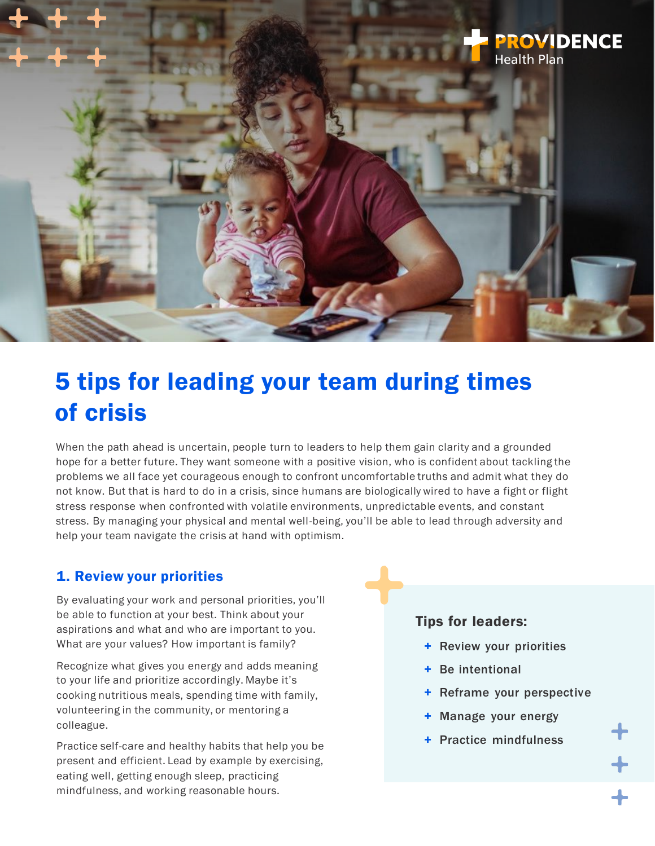

# 5 tips for leading your team during times of crisis

When the path ahead is uncertain, people turn to leaders to help them gain clarity and a grounded hope for a better future. They want someone with a positive vision, who is confident about tackling the problems we all face yet courageous enough to confront uncomfortable truths and admit what they do not know. But that is hard to do in a crisis, since humans are biologically wired to have a fight or flight stress response when confronted with volatile environments, unpredictable events, and constant stress. By managing your physical and mental well-being, you'll be able to lead through adversity and help your team navigate the crisis at hand with optimism.

# 1. Review your priorities

By evaluating your work and personal priorities, you'll be able to function at your best. Think about your aspirations and what and who are important to you. What are your values? How important is family?

Recognize what gives you energy and adds meaning to your life and prioritize accordingly. Maybe it's cooking nutritious meals, spending time with family, volunteering in the community, or mentoring a colleague.

Practice self-care and healthy habits that help you be present and efficient. Lead by example by exercising, eating well, getting enough sleep, practicing mindfulness, and working reasonable hours.

#### Tips for leaders:

- + Review your priorities
- Be intentional
- Reframe your perspective
- Manage your energy
- + Practice mindfulness